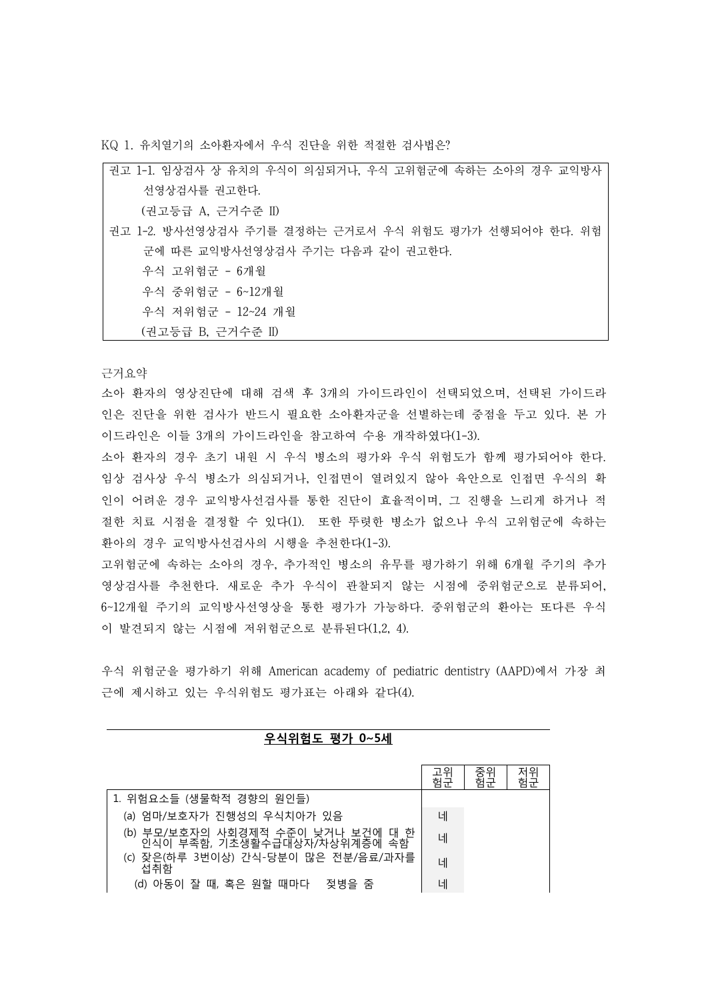KQ 1. 유치열기의 소아환자에서 우식 진단을 위한 적절한 검사법은?

| 권고 1-1. 임상검사 상 유치의 우식이 의심되거나, 우식 고위험군에 속하는 소아의 경우 교익방사 |
|--------------------------------------------------------|
| 선영상검사를 권고한다.                                           |
| (권고등급 A, 근거수준 II)                                      |
| 권고 1-2. 방사선영상검사 주기를 결정하는 근거로서 우식 위험도 평가가 선행되어야 한다. 위험  |
| 군에 따른 교익방사선영상검사 주기는 다음과 같이 권고한다.                       |
| 우식 고위험군 - 6개월                                          |
| 우식 중위험군 - 6~12개월                                       |
| 우식 저위험군 - 12~24 개월                                     |
| (권고등급 B. 근거수준 II)                                      |

근거요약

소아 환자의 영상진단에 대해 검색 후 3개의 가이드라인이 선택되었으며, 선택된 가이드라 인은 진단을 위한 검사가 반드시 필요한 소아환자군을 선별하는데 중점을 두고 있다. 본 가 이드라인은 이들 3개의 가이드라인을 참고하여 수용 개작하였다(1-3).

소아 환자의 경우 초기 내원 시 우식 병소의 평가와 우식 위험도가 함께 평가되어야 한다.<br>임상 검사상 우식 병소가 의심되거나, 인접면이 열려있지 않아 육안으로 인접면 우식의 확 인이 어려운 경우 교익방사선검사를 통한 진단이 효율적이며, 그 진행을 느리게 하거나 적 절한 치료 시점을 결정할 수 있다(1). 또한 뚜렷한 병소가 없으나 우식 고위험군에 속하는 환아의 경우 교익방사선검사의 시행을 추천한다(1-3).

고위험군에 속하는 소아의 경우, 추가적인 병소의 유무를 평가하기 위해 6개월 주기의 추가 영상검사를 추천한다. 새로운 추가 우식이 관찰되지 않는 시점에 중위험군으로 분류되어, 6~12개월 주기의 교익방사선영상을 통한 평가가 가능하다. 중위험군의 환아는 또다른 우식 이 발견되지 않는 시점에 저위험군으로 분류된다(1,2, 4).

우식 위험군을 평가하기 위해 American academy of pediatric dentistry (AAPD)에서 가장 최 근에 제시하고 있는 우식위험도 평가표는 아래와 같다(4).

|                                                                      | 고우<br>험군 | 중우<br>험군 | 저위<br>험군 |
|----------------------------------------------------------------------|----------|----------|----------|
| 1. 위험요소들 (생물학적 경향의 원인들)                                              |          |          |          |
| (a) 엄마/보호자가 진행성의 우식치아가 있음                                            | 네        |          |          |
| 사회경제적 수준이 낮거나 보건에 대 한<br>(b) 부모/보호자의<br>인식이 부족함, 기초생활수급대상자/차상위계층에 속함 | 네        |          |          |
| 잦은(하루 3번이상) 간식-당분이 많은 전분/음료/과자를<br>(C)<br>섭취함                        | 네        |          |          |
| 젖병을 줌<br>(d) 아동이 잘 때, 혹은 원할 때마다                                      | 네        |          |          |

## **우식위험도 평가 0~5세**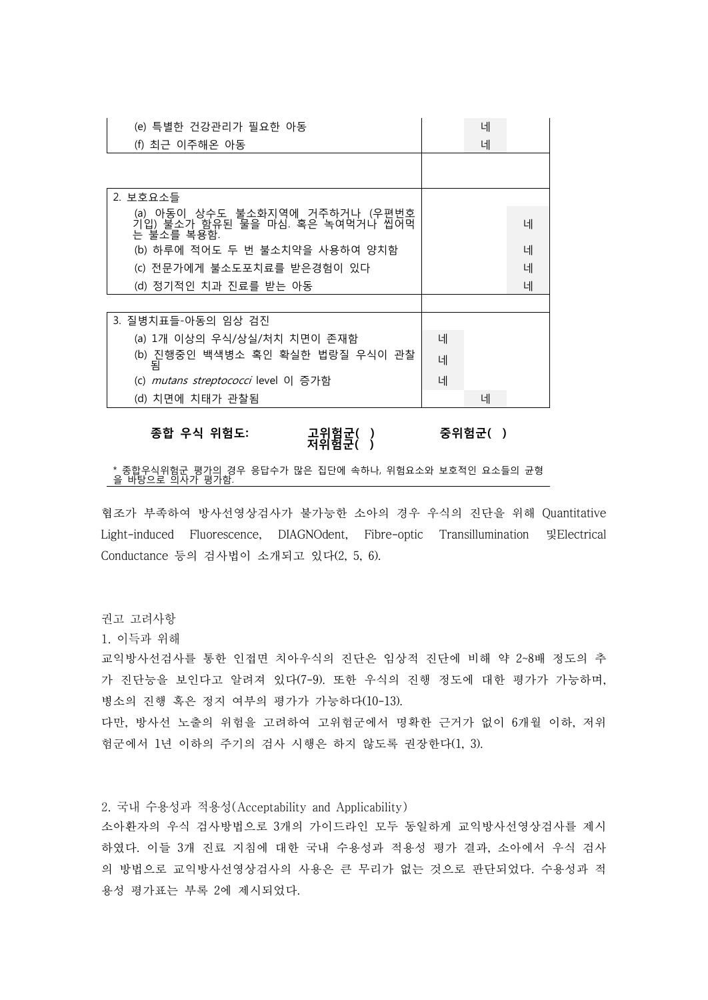| (e) 특별한 건강관리가 필요한 아동<br>(f) 최근 이주해온 아동                                         |   | 네<br>네 |   |
|--------------------------------------------------------------------------------|---|--------|---|
|                                                                                |   |        |   |
| 2. 보호요소들                                                                       |   |        |   |
| (a) 아동이 상수도 불소화지역에 거주하거나 (우편번호<br>기입) 불소가 함유된 물을 마심 혹은 녹여먹거나 씹어먹<br>는 불소를 복용함. |   |        | 네 |
| (b) 하루에 적어도 두 번 불소치약을 사용하여 양치함                                                 |   |        | 네 |
| (c) 전문가에게 불소도포치료를 받은경험이 있다                                                     |   |        | 네 |
| (d) 정기적인 치과 진료를 받는 아동                                                          |   |        | 네 |
|                                                                                |   |        |   |
| 3. 질병치표들-아동의 임상 검진                                                             |   |        |   |
| (a) 1개 이상의 우식/상실/처치 치면이 존재함                                                    | 네 |        |   |
| (b) 진행중인 백색병소 혹인 확실한 법랑질 우식이 관찰<br>됨                                           | 네 |        |   |
| (c) mutans streptococci level 이 증가함                                            | 네 |        |   |
| (d) 치면에 치태가 관찰됨                                                                |   | 네      |   |

## **종합 우식 위험도: 고위험군( ) 중위험군( )**

\* 종합우식위험군 평가의 경우 응답수가 많은 집단에 속하나, 위험요소와 보호적인 요소들의 균형 을 바탕으로 의사가 평가함.

 **저위험군( )**

협조가 부족하여 방사선영상검사가 불가능한 소아의 경우 우식의 진단을 위해 Quantitative Light-induced Fluorescence, DIAGNOdent, Fibre-optic Transillumination 및Electrical Conductance 등의 검사법이 소개되고 있다(2, 5, 6).

권고 고려사항

1. 이득과 위해

교익방사선검사를 통한 인접면 치아우식의 진단은 임상적 진단에 비해 약 2~8배 정도의 추 가 진단능을 보인다고 알려져 있다(7-9). 또한 우식의 진행 정도에 대한 평가가 가능하며,<br>병소의 진행 혹은 정지 여부의 평가가 가능하다(10-13).

다만, 방사선 노출의 위험을 고려하여 고위험군에서 명확한 근거가 없이 6개월 이하, 저위 험군에서 1년 이하의 주기의 검사 시행은 하지 않도록 권장한다(1, 3).

2. 국내 수용성과 적용성(Acceptability and Applicability)

소아환자의 우식 검사방법으로 3개의 가이드라인 모두 동일하게 교익방사선영상검사를 제시 하였다. 이들 3개 진료 지침에 대한 국내 수용성과 적용성 평가 결과, 소아에서 우식 검사 의 방법으로 교익방사선영상검사의 사용은 큰 무리가 없는 것으로 판단되었다. 수용성과 적 용성 평가표는 부록 2에 제시되었다.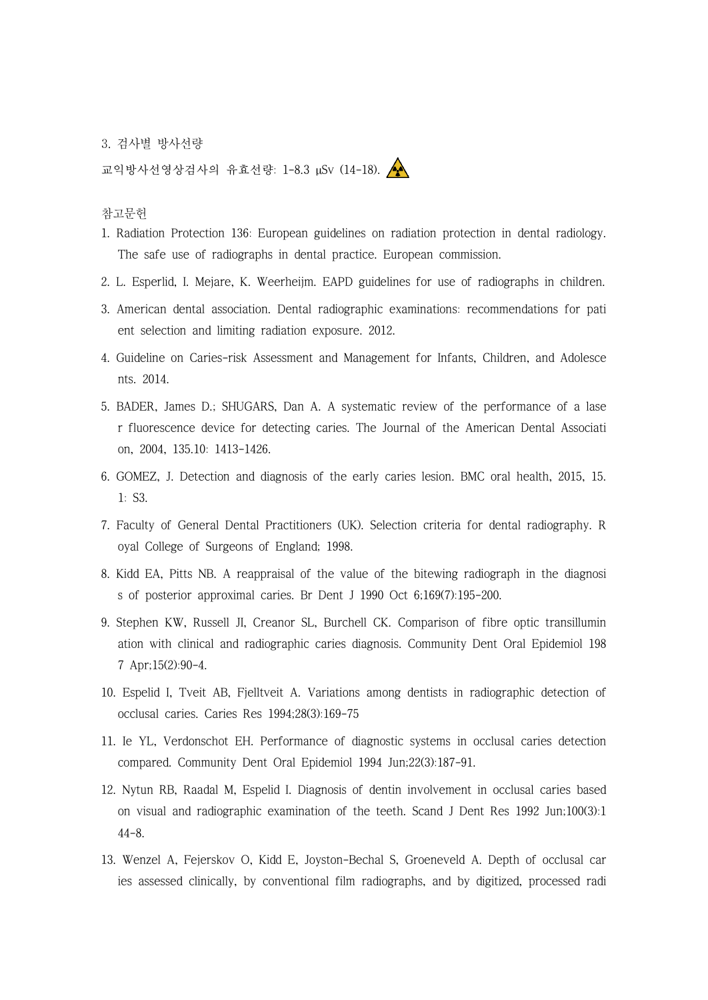3. 검사별 방사선량

교익방사선영상검사의 유효선량: 1-8.3 µSv (14-18).

참고문헌

- 1. Radiation Protection 136: European guidelines on radiation protection in dental radiology. The safe use of radiographs in dental practice. European commission.
- 2. L. Esperlid, I. Mejare, K. Weerheijm. EAPD guidelines for use of radiographs in children.
- 3. American dental association. Dental radiographic examinations: recommendations for pati ent selection and limiting radiation exposure. 2012.
- 4. Guideline on Caries-risk Assessment and Management for Infants, Children, and Adolesce nts. 2014.
- 5. BADER, James D.; SHUGARS, Dan A. A systematic review of the performance of a lase r fluorescence device for detecting caries. The Journal of the American Dental Associati on, 2004, 135.10: 1413-1426.
- 6. GOMEZ, J. Detection and diagnosis of the early caries lesion. BMC oral health, 2015, 15. 1: S3.
- 7. Faculty of General Dental Practitioners (UK). Selection criteria for dental radiography. R oyal College of Surgeons of England; 1998.
- 8. Kidd EA, Pitts NB. A reappraisal of the value of the bitewing radiograph in the diagnosi s of posterior approximal caries. Br Dent J 1990 Oct 6;169(7):195-200.
- 9. Stephen KW, Russell JI, Creanor SL, Burchell CK. Comparison of fibre optic transillumin ation with clinical and radiographic caries diagnosis. Community Dent Oral Epidemiol 198 7 Apr;15(2):90-4.
- 10. Espelid I, Tveit AB, Fjelltveit A. Variations among dentists in radiographic detection of occlusal caries. Caries Res 1994;28(3):169-75
- 11. Ie YL, Verdonschot EH. Performance of diagnostic systems in occlusal caries detection compared. Community Dent Oral Epidemiol 1994 Jun;22(3):187-91.
- 12. Nytun RB, Raadal M, Espelid I. Diagnosis of dentin involvement in occlusal caries based on visual and radiographic examination of the teeth. Scand J Dent Res 1992 Jun;100(3):1 44-8.
- 13. Wenzel A, Fejerskov O, Kidd E, Joyston-Bechal S, Groeneveld A. Depth of occlusal car ies assessed clinically, by conventional film radiographs, and by digitized, processed radi